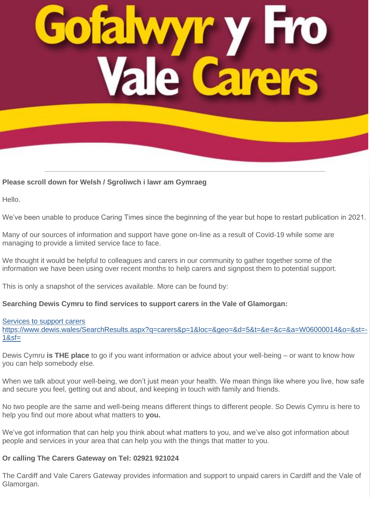#### **Please scroll down for Welsh / Sgroliwch i lawr am Gymraeg**

Hello.

We've been unable to produce Caring Times since the beginning of the year but hope to restart publication in 2021.

Many of our sources of information and support have gone on-line as a result of Covid-19 while some are managing to provide a limited service face to face.

We thought it would be helpful to colleagues and carers in our community to gather together some of the information we have been using over recent months to help carers and signpost them to potential support.

This is only a snapshot of the services available. More can be found by:

#### **Searching Dewis Cymru to find services to support carers in the Vale of Glamorgan:**

#### [Services to support carers](https://lnks.gd/l/eyJhbGciOiJIUzI1NiJ9.eyJidWxsZXRpbl9saW5rX2lkIjoxMDAsInVyaSI6ImJwMjpjbGljayIsImJ1bGxldGluX2lkIjoiMjAyMDEyMDIuMzE0MTI2NzEiLCJ1cmwiOiJodHRwczovL3d3dy5kZXdpcy53YWxlcy9TZWFyY2hSZXN1bHRzLmFzcHg_cT1jYXJlcnMmcD0xJmxvYz0mZ2VvPSZkPTUmdD0mZT0mYz0mYT1XMDYwMDAwMTQmbz0mc3Q9LTEmc2Y9In0.OCf9sxml9ezgyI4pSbyEnvnNolLzWwPtCixJyj7tTGA/s/1019170856/br/90871620894-l)

https://www.dewis.wales/SearchResults.aspx?q=carers&p=1&loc=&geo=&d=5&t=&e=&c=&a=W06000014&o=&st=-  $18sf =$ 

Dewis Cymru **is THE place** to go if you want information or advice about your well-being – or want to know how you can help somebody else.

When we talk about your well-being, we don't just mean your health. We mean things like where you live, how safe and secure you feel, getting out and about, and keeping in touch with family and friends.

No two people are the same and well-being means different things to different people. So Dewis Cymru is here to help you find out more about what matters to **you.**

We've got information that can help you think about what matters to you, and we've also got information about people and services in your area that can help you with the things that matter to you.

#### **Or calling The Carers Gateway on Tel: 02921 921024**

The Cardiff and Vale Carers Gateway provides information and support to unpaid carers in Cardiff and the Vale of Glamorgan.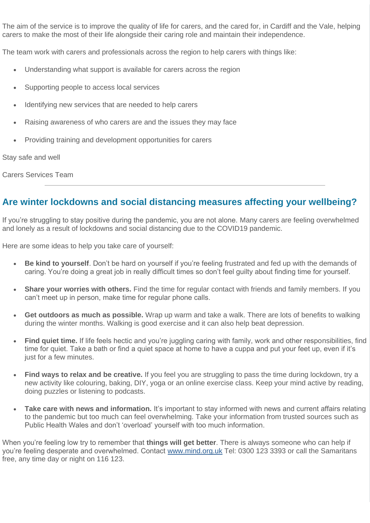The aim of the service is to improve the quality of life for carers, and the cared for, in Cardiff and the Vale, helping carers to make the most of their life alongside their caring role and maintain their independence.

The team work with carers and professionals across the region to help carers with things like:

- Understanding what support is available for carers across the region
- Supporting people to access local services
- Identifying new services that are needed to help carers
- Raising awareness of who carers are and the issues they may face
- Providing training and development opportunities for carers

Stay safe and well

Carers Services Team

### **Are winter lockdowns and social distancing measures affecting your wellbeing?**

If you're struggling to stay positive during the pandemic, you are not alone. Many carers are feeling overwhelmed and lonely as a result of lockdowns and social distancing due to the COVID19 pandemic.

Here are some ideas to help you take care of yourself:

- **Be kind to yourself**. Don't be hard on yourself if you're feeling frustrated and fed up with the demands of caring. You're doing a great job in really difficult times so don't feel guilty about finding time for yourself.
- **Share your worries with others.** Find the time for regular contact with friends and family members. If you can't meet up in person, make time for regular phone calls.
- **Get outdoors as much as possible.** Wrap up warm and take a walk. There are lots of benefits to walking during the winter months. Walking is good exercise and it can also help beat depression.
- **Find quiet time.** If life feels hectic and you're juggling caring with family, work and other responsibilities, find time for quiet. Take a bath or find a quiet space at home to have a cuppa and put your feet up, even if it's just for a few minutes.
- **Find ways to relax and be creative.** If you feel you are struggling to pass the time during lockdown, try a new activity like colouring, baking, DIY, yoga or an online exercise class. Keep your mind active by reading, doing puzzles or listening to podcasts.
- **Take care with news and information.** It's important to stay informed with news and current affairs relating to the pandemic but too much can feel overwhelming. Take your information from trusted sources such as Public Health Wales and don't 'overload' yourself with too much information.

When you're feeling low try to remember that **things will get better**. There is always someone who can help if you're feeling desperate and overwhelmed. Contact [www.mind.org.uk](https://lnks.gd/l/eyJhbGciOiJIUzI1NiJ9.eyJidWxsZXRpbl9saW5rX2lkIjoxMDEsInVyaSI6ImJwMjpjbGljayIsImJ1bGxldGluX2lkIjoiMjAyMDEyMDIuMzE0MTI2NzEiLCJ1cmwiOiJodHRwOi8vd3d3Lm1pbmQub3JnLnVrIn0.8LLyMCkCl3Pj5Og3Ndn_s9C-2Fs8-TBOg5QFw9AzZws/s/1019170856/br/90871620894-l) Tel: 0300 123 3393 or call the Samaritans free, any time day or night on 116 123.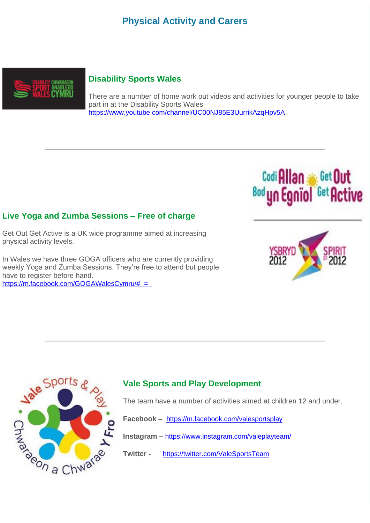### **Physical Activity and Carers**



#### **Disability Sports Wales**

There are a number of home work out videos and activities for younger people to take part in at the Disability Sports Wales <https://www.youtube.com/channel/UC00NJ85E3UurrikAzqHpv5A>

#### **Live Yoga and Zumba Sessions – Free of charge**

Get Out Get Active is a UK wide programme aimed at increasing physical activity levels.

In Wales we have three GOGA officers who are currently providing weekly Yoga and Zumba Sessions. They're free to attend but people have to register before hand. [https://m.facebook.com/GOGAWalesCymru/#\\_=\\_](https://m.facebook.com/GOGAWalesCymru/#_=_)



Codi Allan Get Out

<sup>Bod</sup> yn Egnïol



#### **Vale Sports and Play Development**

The team have a number of activities aimed at children 12 and under.

**Facebook –** <https://m.facebook.com/valesportsplay>

**Instagram –** <https://www.instagram.com/valeplayteam/>

**Twitter -** <https://twitter.com/ValeSportsTeam>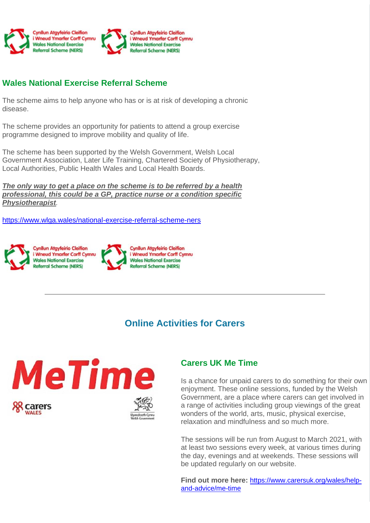

### **Wales National Exercise Referral Scheme**

The scheme aims to help anyone who has or is at risk of developing a chronic disease.

The scheme provides an opportunity for patients to attend a group exercise programme designed to improve mobility and quality of life.

The scheme has been supported by the Welsh Government, Welsh Local Government Association, Later Life Training, Chartered Society of Physiotherapy, Local Authorities, Public Health Wales and Local Health Boards.

*The only way to get a place on the scheme is to be referred by a health professional, this could be a GP, practice nurse or a condition specific Physiotherapist.*

<https://www.wlga.wales/national-exercise-referral-scheme-ners>



### **Online Activities for Carers**



#### **Carers UK Me Time**

Is a chance for unpaid carers to do something for their own enjoyment. These online sessions, funded by the Welsh Government, are a place where carers can get involved in a range of activities including group viewings of the great wonders of the world, arts, music, physical exercise, relaxation and mindfulness and so much more.

The sessions will be run from August to March 2021, with at least two sessions every week, at various times during the day, evenings and at weekends. These sessions will be updated regularly on our website.

**Find out more here:** [https://www.carersuk.org/wales/help](https://www.carersuk.org/wales/help-and-advice/me-time)[and-advice/me-time](https://www.carersuk.org/wales/help-and-advice/me-time)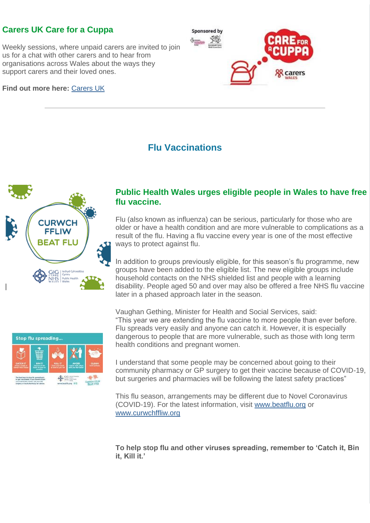### **Carers UK Care for a Cuppa**

Weekly sessions, where unpaid carers are invited to join us for a chat with other carers and to hear from organisations across Wales about the ways they support carers and their loved ones.

**Find out more here:** [Carers UK](https://lnks.gd/l/eyJhbGciOiJIUzI1NiJ9.eyJidWxsZXRpbl9saW5rX2lkIjoxMTEsInVyaSI6ImJwMjpjbGljayIsImJ1bGxldGluX2lkIjoiMjAyMDEyMDIuMzE0MTI2NzEiLCJ1cmwiOiJodHRwczovL3d3dy5jYXJlcnN1ay5vcmcvd2FsZXMvaGVscC1hbmQtYWR2aWNlL2NhcmUtZm9yLWEtY3VwcGEtaW4td2FsZXMifQ.L0x0Bi_truI2fBSs1U5IbwScZAjD1vkbR6mE_wbPDJY/s/1019170856/br/90871620894-l)



### **Flu Vaccinations**



#### **Public Health Wales urges eligible people in Wales to have free flu vaccine.**

Flu (also known as influenza) can be serious, particularly for those who are older or have a health condition and are more vulnerable to complications as a result of the flu. Having a flu vaccine every year is one of the most effective ways to protect against flu.

In addition to groups previously eligible, for this season's flu programme, new groups have been added to the eligible list. The new eligible groups include household contacts on the NHS shielded list and people with a learning disability. People aged 50 and over may also be offered a free NHS flu vaccine later in a phased approach later in the season.



Vaughan Gething, Minister for Health and Social Services, said: "This year we are extending the flu vaccine to more people than ever before. Flu spreads very easily and anyone can catch it. However, it is especially dangerous to people that are more vulnerable, such as those with long term health conditions and pregnant women.

I understand that some people may be concerned about going to their community pharmacy or GP surgery to get their vaccine because of COVID-19, but surgeries and pharmacies will be following the latest safety practices"

This flu season, arrangements may be different due to Novel Coronavirus (COVID-19). For the latest information, visit [www.beatflu.org](https://lnks.gd/l/eyJhbGciOiJIUzI1NiJ9.eyJidWxsZXRpbl9saW5rX2lkIjoxMTIsInVyaSI6ImJwMjpjbGljayIsImJ1bGxldGluX2lkIjoiMjAyMDEyMDIuMzE0MTI2NzEiLCJ1cmwiOiJodHRwOi8vd3d3LmJlYXRmbHUub3JnLyJ9.yWPRBe3DWy9xLwplbcTUfiYK42lE9UBkGOhQZ7yI280/s/1019170856/br/90871620894-l) or [www.curwchffliw.org](https://lnks.gd/l/eyJhbGciOiJIUzI1NiJ9.eyJidWxsZXRpbl9saW5rX2lkIjoxMTMsInVyaSI6ImJwMjpjbGljayIsImJ1bGxldGluX2lkIjoiMjAyMDEyMDIuMzE0MTI2NzEiLCJ1cmwiOiJodHRwOi8vd3d3LmN1cndjaGZmbGl3Lm9yZy8ifQ.f9Cz32t8uuJtvDQSo9qufA5eNKb9666x614ZytDsxqs/s/1019170856/br/90871620894-l)

**To help stop flu and other viruses spreading, remember to 'Catch it, Bin it, Kill it.'**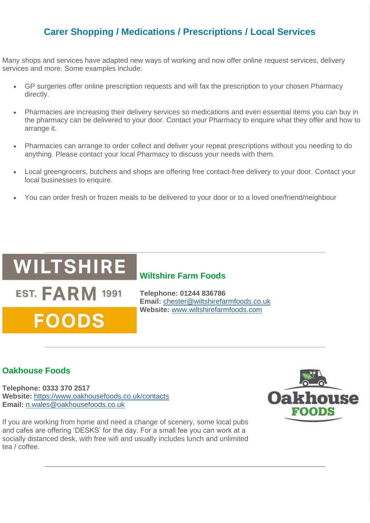### **Carer Shopping / Medications / Prescriptions / Local Services**

Many shops and services have adapted new ways of working and now offer online request services, delivery services and more. Some examples include:

- GP surgeries offer online prescription requests and will fax the prescription to your chosen Pharmacy directly.
- Pharmacies are increasing their delivery services so medications and even essential items you can buy in the pharmacy can be delivered to your door. Contact your Pharmacy to enquire what they offer and how to arrange it.
- Pharmacies can arrange to order collect and deliver your repeat prescriptions without you needing to do anything. Please contact your local Pharmacy to discuss your needs with them.
- Local greengrocers, butchers and shops are offering free contact-free delivery to your door. Contact your local businesses to enquire.
- You can order fresh or frozen meals to be delivered to your door or to a loved one/friend/neighbour

## **WILTSHIRE**

**EST. FARM 1991** 

**FOODS** 

#### **Wiltshire Farm Foods**

**Telephone: 01244 836786 Email:** [chester@wiltshirefarmfoods.co.uk](mailto:chester@wiltshirefarmfoods.co.uk) **Website:** [www.wiltshirefarmfoods.com](https://lnks.gd/l/eyJhbGciOiJIUzI1NiJ9.eyJidWxsZXRpbl9saW5rX2lkIjoxMTQsInVyaSI6ImJwMjpjbGljayIsImJ1bGxldGluX2lkIjoiMjAyMDEyMDIuMzE0MTI2NzEiLCJ1cmwiOiJodHRwOi8vd3d3LndpbHRzaGlyZWZhcm1mb29kcy5jb20vIn0.0gzQvrrgTc_Z77afaHCHWrLQoXMb_xiE8r-8s4pfPhw/s/1019170856/br/90871620894-l)

#### **Oakhouse Foods**

**Telephone: 0333 370 2517 Website:** [https://www.oakhousefoods.co.uk/contacts](https://lnks.gd/l/eyJhbGciOiJIUzI1NiJ9.eyJidWxsZXRpbl9saW5rX2lkIjoxMTUsInVyaSI6ImJwMjpjbGljayIsImJ1bGxldGluX2lkIjoiMjAyMDEyMDIuMzE0MTI2NzEiLCJ1cmwiOiJodHRwczovL3d3dy5vYWtob3VzZWZvb2RzLmNvLnVrL2NvbnRhY3RzIn0.hXEaz596_uho6qTyMgn7kjYWwNO4MjbvBcXyNPn5MVY/s/1019170856/br/90871620894-l) **Email:** [n.wales@oakhousefoods.co.uk](mailto:n.wales@oakhousefoods.co.uk)

If you are working from home and need a change of scenery, some local pubs and cafes are offering 'DESKS' for the day. For a small fee you can work at a socially distanced desk, with free wifi and usually includes lunch and unlimited tea / coffee.

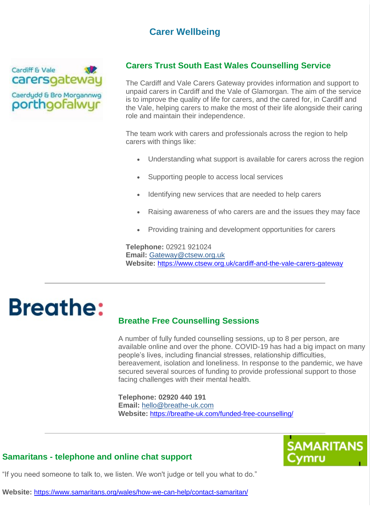### **Carer Wellbeing**



#### **Carers Trust South East Wales Counselling Service**

The Cardiff and Vale Carers Gateway provides information and support to unpaid carers in Cardiff and the Vale of Glamorgan. The aim of the service is to improve the quality of life for carers, and the cared for, in Cardiff and the Vale, helping carers to make the most of their life alongside their caring role and maintain their independence.

The team work with carers and professionals across the region to help carers with things like:

- Understanding what support is available for carers across the region
- Supporting people to access local services
- Identifying new services that are needed to help carers
- Raising awareness of who carers are and the issues they may face
- Providing training and development opportunities for carers

**Telephone:** 02921 921024 **Email:** [Gateway@ctsew.org.uk](mailto:Gateway@ctsew.org.uk) **Website:** <https://www.ctsew.org.uk/cardiff-and-the-vale-carers-gateway>

# **Breathe:**

#### **Breathe Free Counselling Sessions**

A number of fully funded counselling sessions, up to 8 per person, are available online and over the phone. COVID-19 has had a big impact on many people's lives, including financial stresses, relationship difficulties, bereavement, isolation and loneliness. In response to the pandemic, we have secured several sources of funding to provide professional support to those facing challenges with their mental health.

**Telephone: 02920 440 191 Email:** [hello@breathe-uk.com](mailto:hello@breathe-uk.com) **Website:** <https://breathe-uk.com/funded-free-counselling/>



#### **Samaritans - telephone and online chat support**

"If you need someone to talk to, we listen. We won't judge or tell you what to do."

**Website:** <https://www.samaritans.org/wales/how-we-can-help/contact-samaritan/>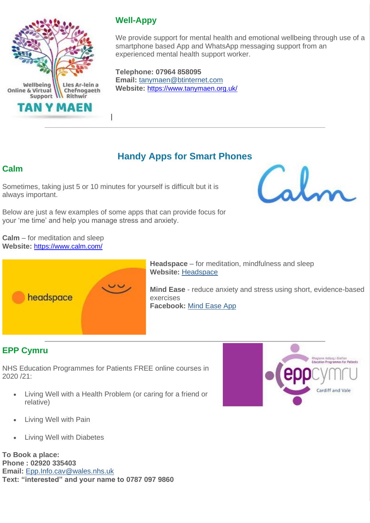

### **Well-Appy**

We provide support for mental health and emotional wellbeing through use of a smartphone based App and WhatsApp messaging support from an experienced mental health support worker.

**Telephone: 07964 858095 Email:** [tanymaen@btinternet.com](mailto:tanymaen@btinternet.com) **Website:** <https://www.tanymaen.org.uk/>

### **Handy Apps for Smart Phones**

### **Calm**

Sometimes, taking just 5 or 10 minutes for yourself is difficult but it is always important.

Below are just a few examples of some apps that can provide focus for your 'me time' and help you manage stress and anxiety.

**Calm** – for meditation and sleep **Website:** <https://www.calm.com/>





**Headspace** – for meditation, mindfulness and sleep **Website:** [Headspace](https://lnks.gd/l/eyJhbGciOiJIUzI1NiJ9.eyJidWxsZXRpbl9saW5rX2lkIjoxMjEsInVyaSI6ImJwMjpjbGljayIsImJ1bGxldGluX2lkIjoiMjAyMDEyMDIuMzE0MTI2NzEiLCJ1cmwiOiJodHRwczovL3d3dy5oZWFkc3BhY2UuY29tLyJ9.bt7vBxTq87l3d2R3mXyP_i89s1u1daJTCpFxpC4Ke0s/s/1019170856/br/90871620894-l)

**Mind Ease** - reduce anxiety and stress using short, evidence-based exercises **Facebook:** [Mind Ease App](https://lnks.gd/l/eyJhbGciOiJIUzI1NiJ9.eyJidWxsZXRpbl9saW5rX2lkIjoxMjMsInVyaSI6ImJwMjpjbGljayIsImJ1bGxldGluX2lkIjoiMjAyMDEyMDIuMzE0MTI2NzEiLCJ1cmwiOiJodHRwczovL3d3dy5mYWNlYm9vay5jb20vTWluZEVhc2VBcHAvIn0.mPNrkBZzXF6Ks58R16t5sfB69_1Eg7q967bFJUAEkdo/s/1019170856/br/90871620894-l)

### **EPP Cymru**

NHS Education Programmes for Patients FREE online courses in 2020 /21:

• Living Well with a Health Problem (or caring for a friend or relative)



- Living Well with Pain
- Living Well with Diabetes

**To Book a place: Phone : 02920 335403 Email:** [Epp.Info.cav@wales.nhs.uk](mailto:Epp.Info.cav@wales.nhs.uk) **Text: "interested" and your name to 0787 097 9860**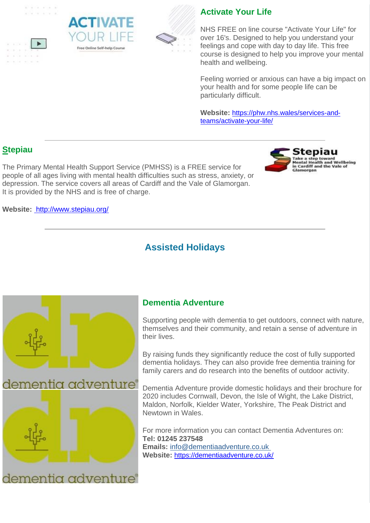

 $\sim$   $\sim$ 





### **Activate Your Life**

NHS FREE on line course "Activate Your Life" for over 16's. Designed to help you understand your feelings and cope with day to day life. This free course is designed to help you improve your mental health and wellbeing.

Feeling worried or anxious can have a big impact on your health and for some people life can be particularly difficult.

**Website:** [https://phw.nhs.wales/services-and](https://phw.nhs.wales/services-and-teams/activate-your-life/)[teams/activate-your-life/](https://phw.nhs.wales/services-and-teams/activate-your-life/)

### **Stepiau**

The Primary Mental Health Support Service (PMHSS) is a FREE service for people of all ages living with mental health difficulties such as stress, anxiety, or depression. The service covers all areas of Cardiff and the Vale of Glamorgan. It is provided by the NHS and is free of charge.

**Website:** <http://www.stepiau.org/>

### **Assisted Holidays**



### **Dementia Adventure**

Supporting people with dementia to get outdoors, connect with nature, themselves and their community, and retain a sense of adventure in their lives.

By raising funds they significantly reduce the cost of fully supported dementia holidays. They can also provide free dementia training for family carers and do research into the benefits of outdoor activity.

Dementia Adventure provide domestic holidays and their brochure for 2020 includes Cornwall, Devon, the Isle of Wight, the Lake District, Maldon, Norfolk, Kielder Water, Yorkshire, The Peak District and Newtown in Wales.

For more information you can contact Dementia Adventures on: **Tel: 01245 237548 Emails:** [info@dementiaadventure.co.uk](mailto:info@dementiaadventure.co.uk) **Website:** <https://dementiaadventure.co.uk/>

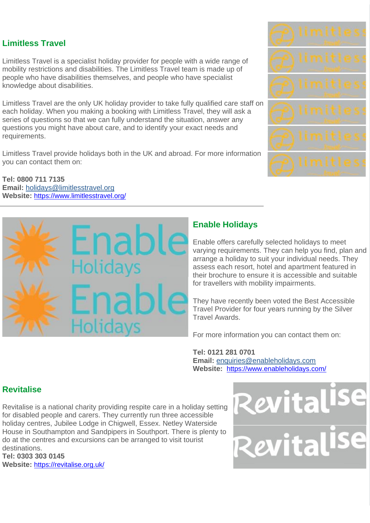### **Limitless Travel**

Limitless Travel is a specialist holiday provider for people with a wide range of mobility restrictions and disabilities. The Limitless Travel team is made up of people who have disabilities themselves, and people who have specialist knowledge about disabilities.

Limitless Travel are the only UK holiday provider to take fully qualified care staff on each holiday. When you making a booking with Limitless Travel, they will ask a series of questions so that we can fully understand the situation, answer any questions you might have about care, and to identify your exact needs and requirements.

Limitless Travel provide holidays both in the UK and abroad. For more information you can contact them on:

**Tel: 0800 711 7135 Email:** [holidays@limitlesstravel.org](mailto:holidays@limitlesstravel.org) **Website:** <https://www.limitlesstravel.org/>



### **Enable Holidays**

Enable offers carefully selected holidays to meet varying requirements. They can help you find, plan and arrange a holiday to suit your individual needs. They assess each resort, hotel and apartment featured in their brochure to ensure it is accessible and suitable for travellers with mobility impairments.

They have recently been voted the Best Accessible Travel Provider for four years running by the Silver Travel Awards.

For more information you can contact them on:

## **Tel: 0121 281 0701**

**Email:** [enquiries@enableholidays.com](mailto:enquiries@enableholidays.com) **Website:** <https://www.enableholidays.com/>

### **Revitalise**

Revitalise is a national charity providing respite care in a holiday setting for disabled people and carers. They currently run three accessible holiday centres, Jubilee Lodge in Chigwell, Essex. Netley Waterside House in Southampton and Sandpipers in Southport. There is plenty to do at the centres and excursions can be arranged to visit tourist destinations.

**Tel: 0303 303 0145 Website:** <https://revitalise.org.uk/>



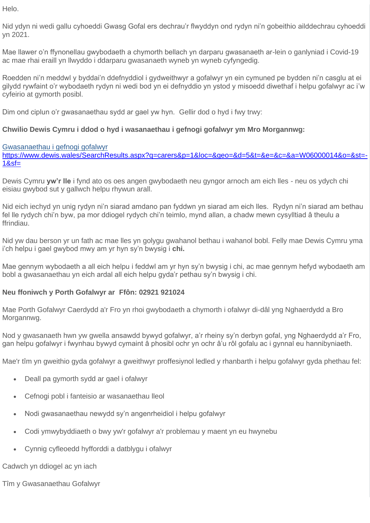Helo.

Nid ydyn ni wedi gallu cyhoeddi Gwasg Gofal ers dechrau'r flwyddyn ond rydyn ni'n gobeithio ailddechrau cyhoeddi yn 2021.

Mae llawer o'n ffynonellau gwybodaeth a chymorth bellach yn darparu gwasanaeth ar-lein o ganlyniad i Covid-19 ac mae rhai eraill yn llwyddo i ddarparu gwasanaeth wyneb yn wyneb cyfyngedig.

Roedden ni'n meddwl y byddai'n ddefnyddiol i gydweithwyr a gofalwyr yn ein cymuned pe bydden ni'n casglu at ei gilydd rywfaint o'r wybodaeth rydyn ni wedi bod yn ei defnyddio yn ystod y misoedd diwethaf i helpu gofalwyr ac i'w cyfeirio at gymorth posibl.

Dim ond ciplun o'r gwasanaethau sydd ar gael yw hyn. Gellir dod o hyd i fwy trwy:

#### **Chwilio Dewis Cymru i ddod o hyd i wasanaethau i gefnogi gofalwyr ym Mro Morgannwg:**

#### [Gwasanaethau i gefnogi gofalwyr](https://lnks.gd/l/eyJhbGciOiJIUzI1NiJ9.eyJidWxsZXRpbl9saW5rX2lkIjoxMzIsInVyaSI6ImJwMjpjbGljayIsImJ1bGxldGluX2lkIjoiMjAyMDEyMDIuMzE0MTI2NzEiLCJ1cmwiOiJodHRwczovL3d3dy5kZXdpcy53YWxlcy9TZWFyY2hSZXN1bHRzLmFzcHg_cT1jYXJlcnMmcD0xJmxvYz0mZ2VvPSZkPTUmdD0mZT0mYz0mYT1XMDYwMDAwMTQmbz0mc3Q9LTEmc2Y9In0.D8Tmo9JbrDk2yCJm3JcoE4A0Wt2cXbl-Gl9hZ-aUllE/s/1019170856/br/90871620894-l)

[https://www.dewis.wales/SearchResults.aspx?q=carers&p=1&loc=&geo=&d=5&t=&e=&c=&a=W06000014&o=&st=-](https://www.dewis.wales/SearchResults.aspx?q=carers&p=1&loc=&geo=&d=5&t=&e=&c=&a=W06000014&o=&st=-1&sf=) [1&sf=](https://www.dewis.wales/SearchResults.aspx?q=carers&p=1&loc=&geo=&d=5&t=&e=&c=&a=W06000014&o=&st=-1&sf=)

Dewis Cymru **yw'r lle** i fynd ato os oes angen gwybodaeth neu gyngor arnoch am eich lles - neu os ydych chi eisiau gwybod sut y gallwch helpu rhywun arall.

Nid eich iechyd yn unig rydyn ni'n siarad amdano pan fyddwn yn siarad am eich lles. Rydyn ni'n siarad am bethau fel lle rydych chi'n byw, pa mor ddiogel rydych chi'n teimlo, mynd allan, a chadw mewn cysylltiad â theulu a ffrindiau.

Nid yw dau berson yr un fath ac mae lles yn golygu gwahanol bethau i wahanol bobl. Felly mae Dewis Cymru yma i'ch helpu i gael gwybod mwy am yr hyn sy'n bwysig i **chi.**

Mae gennym wybodaeth a all eich helpu i feddwl am yr hyn sy'n bwysig i chi, ac mae gennym hefyd wybodaeth am bobl a gwasanaethau yn eich ardal all eich helpu gyda'r pethau sy'n bwysig i chi.

#### **Neu ffoniwch y Porth Gofalwyr ar Ffôn: 02921 921024**

Mae Porth Gofalwyr Caerdydd a'r Fro yn rhoi gwybodaeth a chymorth i ofalwyr di-dâl yng Nghaerdydd a Bro Morgannwg.

Nod y gwasanaeth hwn yw gwella ansawdd bywyd gofalwyr, a'r rheiny sy'n derbyn gofal, yng Nghaerdydd a'r Fro, gan helpu gofalwyr i fwynhau bywyd cymaint â phosibl ochr yn ochr â'u rôl gofalu ac i gynnal eu hannibyniaeth.

Mae'r tîm yn gweithio gyda gofalwyr a gweithwyr proffesiynol ledled y rhanbarth i helpu gofalwyr gyda phethau fel:

- Deall pa gymorth sydd ar gael i ofalwyr
- Cefnogi pobl i fanteisio ar wasanaethau lleol
- Nodi gwasanaethau newydd sy'n angenrheidiol i helpu gofalwyr
- Codi ymwybyddiaeth o bwy yw'r gofalwyr a'r problemau y maent yn eu hwynebu
- Cynnig cyfleoedd hyfforddi a datblygu i ofalwyr

Cadwch yn ddiogel ac yn iach

Tîm y Gwasanaethau Gofalwyr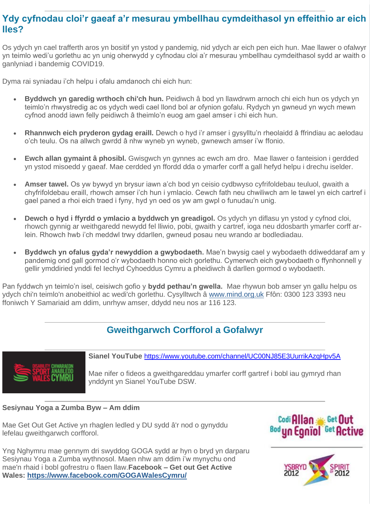### **Ydy cyfnodau cloi'r gaeaf a'r mesurau ymbellhau cymdeithasol yn effeithio ar eich lles?**

Os ydych yn cael trafferth aros yn bositif yn ystod y pandemig, nid ydych ar eich pen eich hun. Mae llawer o ofalwyr yn teimlo wedi'u gorlethu ac yn unig oherwydd y cyfnodau cloi a'r mesurau ymbellhau cymdeithasol sydd ar waith o ganlyniad i bandemig COVID19.

Dyma rai syniadau i'ch helpu i ofalu amdanoch chi eich hun:

- **Byddwch yn garedig wrthoch chi'ch hun.** Peidiwch â bod yn llawdrwm arnoch chi eich hun os ydych yn teimlo'n rhwystredig ac os ydych wedi cael llond bol ar ofynion gofalu. Rydych yn gwneud yn wych mewn cyfnod anodd iawn felly peidiwch â theimlo'n euog am gael amser i chi eich hun.
- **Rhannwch eich pryderon gydag eraill.** Dewch o hyd i'r amser i gysylltu'n rheolaidd â ffrindiau ac aelodau o'ch teulu. Os na allwch gwrdd â nhw wyneb yn wyneb, gwnewch amser i'w ffonio.
- **Ewch allan gymaint â phosibl.** Gwisgwch yn gynnes ac ewch am dro. Mae llawer o fanteision i gerdded yn ystod misoedd y gaeaf. Mae cerdded yn ffordd dda o ymarfer corff a gall hefyd helpu i drechu iselder.
- **Amser tawel.** Os yw bywyd yn brysur iawn a'ch bod yn ceisio cydbwyso cyfrifoldebau teuluol, gwaith a chyfrifoldebau eraill, rhowch amser i'ch hun i ymlacio. Cewch fath neu chwiliwch am le tawel yn eich cartref i gael paned a rhoi eich traed i fyny, hyd yn oed os yw am gwpl o funudau'n unig.
- **Dewch o hyd i ffyrdd o ymlacio a byddwch yn greadigol.** Os ydych yn diflasu yn ystod y cyfnod cloi, rhowch gynnig ar weithgaredd newydd fel lliwio, pobi, gwaith y cartref, ioga neu ddosbarth ymarfer corff arlein. Rhowch hwb i'ch meddwl trwy ddarllen, gwneud posau neu wrando ar bodlediadau.
- **Byddwch yn ofalus gyda'r newyddion a gwybodaeth.** Mae'n bwysig cael y wybodaeth ddiweddaraf am y pandemig ond gall gormod o'r wybodaeth honno eich gorlethu. Cymerwch eich gwybodaeth o ffynhonnell y gellir ymddiried ynddi fel Iechyd Cyhoeddus Cymru a pheidiwch â darllen gormod o wybodaeth.

Pan fyddwch yn teimlo'n isel, ceisiwch gofio y **bydd pethau'n gwella.** Mae rhywun bob amser yn gallu helpu os ydych chi'n teimlo'n anobeithiol ac wedi'ch gorlethu. Cysylltwch â [www.mind.org.uk](https://lnks.gd/l/eyJhbGciOiJIUzI1NiJ9.eyJidWxsZXRpbl9saW5rX2lkIjoxMzMsInVyaSI6ImJwMjpjbGljayIsImJ1bGxldGluX2lkIjoiMjAyMDEyMDIuMzE0MTI2NzEiLCJ1cmwiOiJodHRwOi8vd3d3Lm1pbmQub3JnLnVrIn0.ULGcIkOdnTIrEUjWSpIUoFbEI16ly3M0J1ZV11NQx9E/s/1019170856/br/90871620894-l) Ffôn: 0300 123 3393 neu ffoniwch Y Samariaid am ddim, unrhyw amser, ddydd neu nos ar 116 123.

### **Gweithgarwch Corfforol a Gofalwyr**



**Sianel YouTube** <https://www.youtube.com/channel/UC00NJ85E3UurrikAzqHpv5A>

Mae nifer o fideos a gweithgareddau ymarfer corff gartref i bobl iau gymryd rhan ynddynt yn Sianel YouTube DSW.

#### **Sesiynau Yoga a Zumba Byw – Am ddim**

Mae Get Out Get Active yn rhaglen ledled y DU sydd â'r nod o gynyddu lefelau gweithgarwch corfforol.

Yng Nghymru mae gennym dri swyddog GOGA sydd ar hyn o bryd yn darparu Sesiynau Yoga a Zumba wythnosol. Maen nhw am ddim i'w mynychu ond mae'n rhaid i bobl gofrestru o flaen llaw.**Facebook – Get out Get Active Wales: [https://www.facebook.com/GOGAWalesCymru/](https://lnks.gd/l/eyJhbGciOiJIUzI1NiJ9.eyJidWxsZXRpbl9saW5rX2lkIjoxMzUsInVyaSI6ImJwMjpjbGljayIsImJ1bGxldGluX2lkIjoiMjAyMDEyMDIuMzE0MTI2NzEiLCJ1cmwiOiJodHRwczovL3d3dy5mYWNlYm9vay5jb20vR09HQVdhbGVzQ3ltcnUvIn0.ZSti28BOuuLJHHbeZupBKmbqMbKv6m16pUyvWBAsZS4/s/1019170856/br/90871620894-l)**



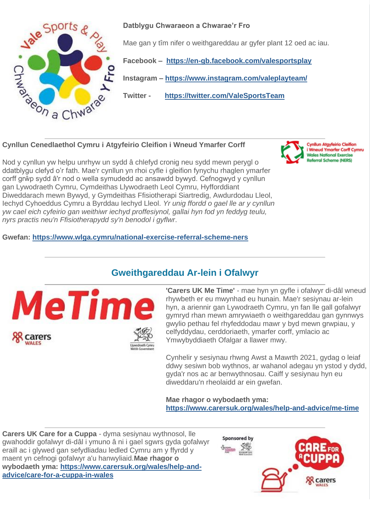

**Datblygu Chwaraeon a Chwarae'r Fro**

Mae gan y tîm nifer o weithgareddau ar gyfer plant 12 oed ac iau.

**Facebook – [https://en-gb.facebook.com/valesportsplay](https://lnks.gd/l/eyJhbGciOiJIUzI1NiJ9.eyJidWxsZXRpbl9saW5rX2lkIjoxMzYsInVyaSI6ImJwMjpjbGljayIsImJ1bGxldGluX2lkIjoiMjAyMDEyMDIuMzE0MTI2NzEiLCJ1cmwiOiJodHRwczovL2VuLWdiLmZhY2Vib29rLmNvbS92YWxlc3BvcnRzcGxheSJ9.FS89x1nbUA89ei9ydL0Na8LMuaBr66K1keRCAWreXUY/s/1019170856/br/90871620894-l)**

**Instagram – [https://www.instagram.com/valeplayteam/](https://lnks.gd/l/eyJhbGciOiJIUzI1NiJ9.eyJidWxsZXRpbl9saW5rX2lkIjoxMzcsInVyaSI6ImJwMjpjbGljayIsImJ1bGxldGluX2lkIjoiMjAyMDEyMDIuMzE0MTI2NzEiLCJ1cmwiOiJodHRwczovL3d3dy5pbnN0YWdyYW0uY29tL3ZhbGVwbGF5dGVhbS8ifQ.mtRapYVAnLbwzgGVpjHfpazA0uS0Q_hUokeJqiXqfKc/s/1019170856/br/90871620894-l)**

**Twitter - [https://twitter.com/ValeSportsTeam](https://lnks.gd/l/eyJhbGciOiJIUzI1NiJ9.eyJidWxsZXRpbl9saW5rX2lkIjoxMzgsInVyaSI6ImJwMjpjbGljayIsImJ1bGxldGluX2lkIjoiMjAyMDEyMDIuMzE0MTI2NzEiLCJ1cmwiOiJodHRwczovL3R3aXR0ZXIuY29tL1ZhbGVTcG9ydHNUZWFtIn0.wciQ2kCUYkWLtvmsFweoTZS4h07XjhW1kFu0q3TCioE/s/1019170856/br/90871620894-l)**

**Cynllun Cenedlaethol Cymru i Atgyfeirio Cleifion i Wneud Ymarfer Corff**

Nod y cynllun yw helpu unrhyw un sydd â chlefyd cronig neu sydd mewn perygl o ddatblygu clefyd o'r fath. Mae'r cynllun yn rhoi cyfle i gleifion fynychu rhaglen ymarfer corff grŵp sydd â'r nod o wella symudedd ac ansawdd bywyd. Cefnogwyd y cynllun gan Lywodraeth Cymru, Cymdeithas Llywodraeth Leol Cymru, Hyfforddiant Diweddarach mewn Bywyd, y Gymdeithas Ffisiotherapi Siartredig, Awdurdodau Lleol, Iechyd Cyhoeddus Cymru a Byrddau Iechyd Lleol. *Yr unig ffordd o gael lle ar y cynllun yw cael eich cyfeirio gan weithiwr iechyd proffesiynol, gallai hyn fod yn feddyg teulu, nyrs practis neu'n Ffisiotherapydd sy'n benodol i gyflwr*.

**Gwefan: [https://www.wlga.cymru/national-exercise-referral-scheme-ners](https://lnks.gd/l/eyJhbGciOiJIUzI1NiJ9.eyJidWxsZXRpbl9saW5rX2lkIjoxMzksInVyaSI6ImJwMjpjbGljayIsImJ1bGxldGluX2lkIjoiMjAyMDEyMDIuMzE0MTI2NzEiLCJ1cmwiOiJodHRwczovL3d3dy53bGdhLmN5bXJ1L25hdGlvbmFsLWV4ZXJjaXNlLXJlZmVycmFsLXNjaGVtZS1uZXJzIn0.xHFau9rZivyuVhl28rXRZcC8mznlyh4RUYYCii2lzyQ/s/1019170856/br/90871620894-l)**



Cynllun Atgyf i Wneud Ymarfer Corff Cymru **Wales National Exercise** Referral Scheme (NERS)

### **Gweithgareddau Ar-lein i Ofalwyr**



**'Carers UK Me Time'** - mae hyn yn gyfle i ofalwyr di-dâl wneud rhywbeth er eu mwynhad eu hunain. Mae'r sesiynau ar-lein hyn, a ariennir gan Lywodraeth Cymru, yn fan lle gall gofalwyr gymryd rhan mewn amrywiaeth o weithgareddau gan gynnwys gwylio pethau fel rhyfeddodau mawr y byd mewn grwpiau, y celfyddydau, cerddoriaeth, ymarfer corff, ymlacio ac Ymwybyddiaeth Ofalgar a llawer mwy.

Cynhelir y sesiynau rhwng Awst a Mawrth 2021, gydag o leiaf ddwy sesiwn bob wythnos, ar wahanol adegau yn ystod y dydd, gyda'r nos ac ar benwythnosau. Caiff y sesiynau hyn eu diweddaru'n rheolaidd ar ein gwefan.

**Mae rhagor o wybodaeth yma: [https://www.carersuk.org/wales/help-and-advice/me-time](https://lnks.gd/l/eyJhbGciOiJIUzI1NiJ9.eyJidWxsZXRpbl9saW5rX2lkIjoxNDAsInVyaSI6ImJwMjpjbGljayIsImJ1bGxldGluX2lkIjoiMjAyMDEyMDIuMzE0MTI2NzEiLCJ1cmwiOiJodHRwczovL3d3dy5jYXJlcnN1ay5vcmcvd2FsZXMvaGVscC1hbmQtYWR2aWNlL21lLXRpbWUifQ.coq1rd-hawvJ82IpUZB7ZbWwRwzNOxs9_5FtLv33BGw/s/1019170856/br/90871620894-l)**

**Carers UK Care for a Cuppa** - dyma sesiynau wythnosol, lle gwahoddir gofalwyr di-dâl i ymuno â ni i gael sgwrs gyda gofalwyr eraill ac i glywed gan sefydliadau ledled Cymru am y ffyrdd y maent yn cefnogi gofalwyr a'u hanwyliaid.**Mae rhagor o wybodaeth yma: [https://www.carersuk.org/wales/help-and](https://lnks.gd/l/eyJhbGciOiJIUzI1NiJ9.eyJidWxsZXRpbl9saW5rX2lkIjoxNDEsInVyaSI6ImJwMjpjbGljayIsImJ1bGxldGluX2lkIjoiMjAyMDEyMDIuMzE0MTI2NzEiLCJ1cmwiOiJodHRwczovL3d3dy5jYXJlcnN1ay5vcmcvd2FsZXMvaGVscC1hbmQtYWR2aWNlL2NhcmUtZm9yLWEtY3VwcGEtaW4td2FsZXMifQ.DL73QG-aaxw4TiyvGbwBWv0mvv4gnTdF5TIS4RuIIAw/s/1019170856/br/90871620894-l)[advice/care-for-a-cuppa-in-wales](https://lnks.gd/l/eyJhbGciOiJIUzI1NiJ9.eyJidWxsZXRpbl9saW5rX2lkIjoxNDEsInVyaSI6ImJwMjpjbGljayIsImJ1bGxldGluX2lkIjoiMjAyMDEyMDIuMzE0MTI2NzEiLCJ1cmwiOiJodHRwczovL3d3dy5jYXJlcnN1ay5vcmcvd2FsZXMvaGVscC1hbmQtYWR2aWNlL2NhcmUtZm9yLWEtY3VwcGEtaW4td2FsZXMifQ.DL73QG-aaxw4TiyvGbwBWv0mvv4gnTdF5TIS4RuIIAw/s/1019170856/br/90871620894-l)**

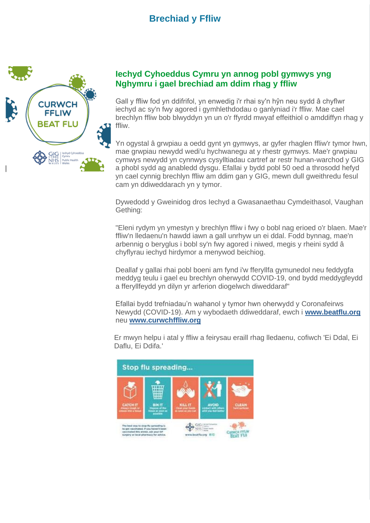### **Brechiad y Ffliw**



#### **Iechyd Cyhoeddus Cymru yn annog pobl gymwys yng Nghymru i gael brechiad am ddim rhag y ffliw**

Gall y ffliw fod yn ddifrifol, yn enwedig i'r rhai sy'n hŷn neu sydd â chyflwr iechyd ac sy'n fwy agored i gymhlethdodau o ganlyniad i'r ffliw. Mae cael brechlyn ffliw bob blwyddyn yn un o'r ffyrdd mwyaf effeithiol o amddiffyn rhag y ffliw.

Yn ogystal â grwpiau a oedd gynt yn gymwys, ar gyfer rhaglen ffliw'r tymor hwn, mae grwpiau newydd wedi'u hychwanegu at y rhestr gymwys. Mae'r grwpiau cymwys newydd yn cynnwys cysylltiadau cartref ar restr hunan-warchod y GIG a phobl sydd ag anabledd dysgu. Efallai y bydd pobl 50 oed a throsodd hefyd yn cael cynnig brechlyn ffliw am ddim gan y GIG, mewn dull gweithredu fesul cam yn ddiweddarach yn y tymor.

Dywedodd y Gweinidog dros Iechyd a Gwasanaethau Cymdeithasol, Vaughan Gething:

"Eleni rydym yn ymestyn y brechlyn ffliw i fwy o bobl nag erioed o'r blaen. Mae'r ffliw'n lledaenu'n hawdd iawn a gall unrhyw un ei ddal. Fodd bynnag, mae'n arbennig o beryglus i bobl sy'n fwy agored i niwed, megis y rheini sydd â chyflyrau iechyd hirdymor a menywod beichiog.

Deallaf y gallai rhai pobl boeni am fynd i'w fferyllfa gymunedol neu feddygfa meddyg teulu i gael eu brechlyn oherwydd COVID-19, ond bydd meddygfeydd a fferyllfeydd yn dilyn yr arferion diogelwch diweddaraf"

Efallai bydd trefniadau'n wahanol y tymor hwn oherwydd y Coronafeirws Newydd (COVID-19). Am y wybodaeth ddiweddaraf, ewch i **[www.beatflu.org](https://lnks.gd/l/eyJhbGciOiJIUzI1NiJ9.eyJidWxsZXRpbl9saW5rX2lkIjoxNDIsInVyaSI6ImJwMjpjbGljayIsImJ1bGxldGluX2lkIjoiMjAyMDEyMDIuMzE0MTI2NzEiLCJ1cmwiOiJodHRwOi8vd3d3LmJlYXRmbHUub3JnLyJ9.1JFfQNoXvcQ9tkoHX6jygKO3PsFChtrnIhOezq2L5D0/s/1019170856/br/90871620894-l)** neu **[www.curwchffliw.org](https://lnks.gd/l/eyJhbGciOiJIUzI1NiJ9.eyJidWxsZXRpbl9saW5rX2lkIjoxNDMsInVyaSI6ImJwMjpjbGljayIsImJ1bGxldGluX2lkIjoiMjAyMDEyMDIuMzE0MTI2NzEiLCJ1cmwiOiJodHRwOi8vd3d3LmN1cndjaGZmbGl3Lm9yZy8ifQ.NP5lqaSLn5zyNGWMH-HlfRX0qQbt11ZpkmwRhRosRos/s/1019170856/br/90871620894-l)**

Er mwyn helpu i atal y ffliw a feirysau eraill rhag lledaenu, cofiwch 'Ei Ddal, Ei Daflu, Ei Ddifa.'

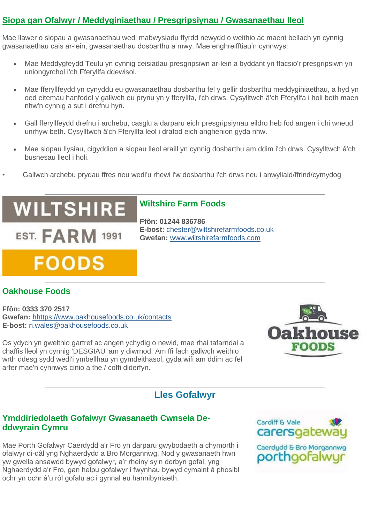#### **Siopa gan Ofalwyr / Meddyginiaethau / Presgripsiynau / Gwasanaethau lleol**

Mae llawer o siopau a gwasanaethau wedi mabwysiadu ffyrdd newydd o weithio ac maent bellach yn cynnig gwasanaethau cais ar-lein, gwasanaethau dosbarthu a mwy. Mae enghreifftiau'n cynnwys:

- Mae Meddygfeydd Teulu yn cynnig ceisiadau presgripsiwn ar-lein a byddant yn ffacsio'r presgripsiwn yn uniongyrchol i'ch Fferyllfa ddewisol.
- Mae fferyllfeydd yn cynyddu eu gwasanaethau dosbarthu fel y gellir dosbarthu meddyginiaethau, a hyd yn oed eitemau hanfodol y gallwch eu prynu yn y fferyllfa, i'ch drws. Cysylltwch â'ch Fferyllfa i holi beth maen nhw'n cynnig a sut i drefnu hyn.
- Gall fferyllfeydd drefnu i archebu, casglu a darparu eich presgripsiynau eildro heb fod angen i chi wneud unrhyw beth. Cysylltwch â'ch Fferyllfa leol i drafod eich anghenion gyda nhw.
- Mae siopau llysiau, cigyddion a siopau lleol eraill yn cynnig dosbarthu am ddim i'ch drws. Cysylltwch â'ch busnesau lleol i holi.
	- Gallwch archebu prydau ffres neu wedi'u rhewi i'w dosbarthu i'ch drws neu i anwyliaid/ffrind/cymydog

**Wiltshire Farm Foods**

**E-bost:** [chester@wiltshirefarmfoods.co.uk](mailto:chester@wiltshirefarmfoods.co.uk) **Gwefan:** [www.wiltshirefarmfoods.com](https://lnks.gd/l/eyJhbGciOiJIUzI1NiJ9.eyJidWxsZXRpbl9saW5rX2lkIjoxNDQsInVyaSI6ImJwMjpjbGljayIsImJ1bGxldGluX2lkIjoiMjAyMDEyMDIuMzE0MTI2NzEiLCJ1cmwiOiJodHRwOi8vd3d3LndpbHRzaGlyZWZhcm1mb29kcy5jb20vIn0.mc9dN5sQYhZ-VSTnoRZpNLRd7V3zmtX7qyxdVEX-QNU/s/1019170856/br/90871620894-l)

**Ffôn: 01244 836786**

## **WILTSHIRE**

**EST. FARM 1991** 

## **FOODS**

### **Oakhouse Foods**

**Ffôn: 0333 370 2517 Gwefan:** [hhttps://www.oakhousefoods.co.uk/contacts](https://lnks.gd/l/eyJhbGciOiJIUzI1NiJ9.eyJidWxsZXRpbl9saW5rX2lkIjoxNDUsInVyaSI6ImJwMjpjbGljayIsImJ1bGxldGluX2lkIjoiMjAyMDEyMDIuMzE0MTI2NzEiLCJ1cmwiOiJodHRwczovL3d3dy5vYWtob3VzZWZvb2RzLmNvLnVrL2NvbnRhY3RzIn0.zFK8WrkHuRuXFa6FnCBrNr6Vua_odEEe7LF8Y92ffAY/s/1019170856/br/90871620894-l) **E-bost:** [n.wales@oakhousefoods.co.uk](mailto:n.wales@oakhousefoods.co.uk)

Os ydych yn gweithio gartref ac angen ychydig o newid, mae rhai tafarndai a chaffis lleol yn cynnig 'DESGIAU' am y diwrnod. Am ffi fach gallwch weithio wrth ddesg sydd wedi'i ymbellhau yn gymdeithasol, gyda wifi am ddim ac fel arfer mae'n cynnwys cinio a the / coffi diderfyn.



### **Lles Gofalwyr**

#### **Ymddiriedolaeth Gofalwyr Gwasanaeth Cwnsela Deddwyrain Cymru**

Mae Porth Gofalwyr Caerdydd a'r Fro yn darparu gwybodaeth a chymorth i ofalwyr di-dâl yng Nghaerdydd a Bro Morgannwg. Nod y gwasanaeth hwn yw gwella ansawdd bywyd gofalwyr, a'r rheiny sy'n derbyn gofal, yng Nghaerdydd a'r Fro, gan helpu gofalwyr i fwynhau bywyd cymaint â phosibl ochr yn ochr â'u rôl gofalu ac i gynnal eu hannibyniaeth.

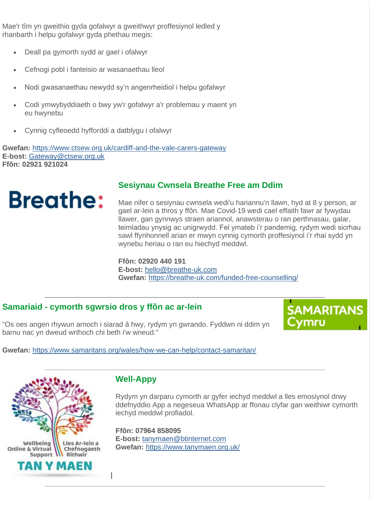Mae'r tîm yn gweithio gyda gofalwyr a gweithwyr proffesiynol ledled y rhanbarth i helpu gofalwyr gyda phethau megis:

- Deall pa gymorth sydd ar gael i ofalwyr
- Cefnogi pobl i fanteisio ar wasanaethau lleol
- Nodi gwasanaethau newydd sy'n angenrheidiol i helpu gofalwyr
- Codi ymwybyddiaeth o bwy yw'r gofalwyr a'r problemau y maent yn eu hwynebu
- Cynnig cyfleoedd hyfforddi a datblygu i ofalwyr

**Gwefan:** [https://www.ctsew.org.uk/cardiff-and-the-vale-carers-gateway](https://lnks.gd/l/eyJhbGciOiJIUzI1NiJ9.eyJidWxsZXRpbl9saW5rX2lkIjoxNDYsInVyaSI6ImJwMjpjbGljayIsImJ1bGxldGluX2lkIjoiMjAyMDEyMDIuMzE0MTI2NzEiLCJ1cmwiOiJodHRwczovL3d3dy5jdHNldy5vcmcudWsvY2FyZGlmZi1hbmQtdGhlLXZhbGUtY2FyZXJzLWdhdGV3YXkifQ.Nx7IPDHBMW_nH_EMbQ6ihHQI4u3_-_K4LNt2NOqrmcs/s/1019170856/br/90871620894-l) **E-bost:** [Gateway@ctsew.org.uk](mailto:Gateway@ctsew.org.uk) **Ffôn: 02921 921024**



### **Sesiynau Cwnsela Breathe Free am Ddim**

Mae nifer o sesiynau cwnsela wedi'u hariannu'n llawn, hyd at 8 y person, ar gael ar-lein a thros y ffôn. Mae Covid-19 wedi cael effaith fawr ar fywydau llawer, gan gynnwys straen ariannol, anawsterau o ran perthnasau, galar, teimladau ynysig ac unigrwydd. Fel ymateb i'r pandemig, rydym wedi sicrhau sawl ffynhonnell arian er mwyn cynnig cymorth proffesiynol i'r rhai sydd yn wynebu heriau o ran eu hiechyd meddwl.

**Ffôn: 02920 440 191 E-bost:** [hello@breathe-uk.com](mailto:hello@breathe-uk.com) **Gwefan:** [https://breathe-uk.com/funded-free-counselling/](https://lnks.gd/l/eyJhbGciOiJIUzI1NiJ9.eyJidWxsZXRpbl9saW5rX2lkIjoxNDcsInVyaSI6ImJwMjpjbGljayIsImJ1bGxldGluX2lkIjoiMjAyMDEyMDIuMzE0MTI2NzEiLCJ1cmwiOiJodHRwczovL2JyZWF0aGUtdWsuY29tL2Z1bmRlZC1mcmVlLWNvdW5zZWxsaW5nLyJ9.3n9PnOFBw1_dMcJx78T_U_H6Jz_-dSht3VazrLF1r5g/s/1019170856/br/90871620894-l)

### **Samariaid - cymorth sgwrsio dros y ffôn ac ar-lein**

"Os oes angen rhywun arnoch i siarad â hwy, rydym yn gwrando. Fyddwn ni ddim yn barnu nac yn dweud wrthoch chi beth i'w wneud."



**Gwefan:** [https://www.samaritans.org/wales/how-we-can-help/contact-samaritan/](https://lnks.gd/l/eyJhbGciOiJIUzI1NiJ9.eyJidWxsZXRpbl9saW5rX2lkIjoxNDgsInVyaSI6ImJwMjpjbGljayIsImJ1bGxldGluX2lkIjoiMjAyMDEyMDIuMzE0MTI2NzEiLCJ1cmwiOiJodHRwczovL3d3dy5zYW1hcml0YW5zLm9yZy93YWxlcy9ob3ctd2UtY2FuLWhlbHAvY29udGFjdC1zYW1hcml0YW4vIn0.IsEZ04N2CpgjFn91sn95r7WBaVIDaDV_GH_5mj4sszA/s/1019170856/br/90871620894-l)



### **Well-Appy**

Rydym yn darparu cymorth ar gyfer iechyd meddwl a lles emosiynol drwy ddefnyddio App a negeseua WhatsApp ar ffonau clyfar gan weithiwr cymorth iechyd meddwl profiadol.

**Ffôn: 07964 858095 E-bost:** [tanymaen@btinternet.com](mailto:tanymaen@btinternet.com) **Gwefan:** [https://www.tanymaen.org.uk/](https://lnks.gd/l/eyJhbGciOiJIUzI1NiJ9.eyJidWxsZXRpbl9saW5rX2lkIjoxNDksInVyaSI6ImJwMjpjbGljayIsImJ1bGxldGluX2lkIjoiMjAyMDEyMDIuMzE0MTI2NzEiLCJ1cmwiOiJodHRwczovL3d3dy50YW55bWFlbi5vcmcudWsvIn0.R6q-kOm-iYPfqT7v03c0lKzBkEXlO8EnDY68G4KXgd0/s/1019170856/br/90871620894-l)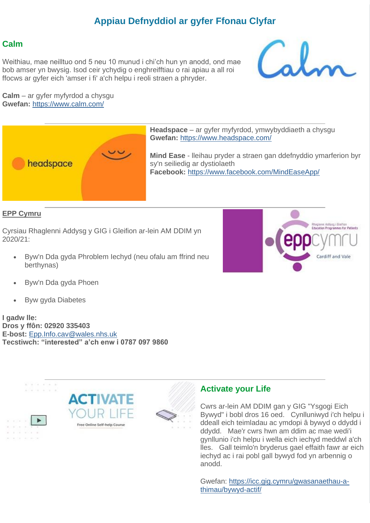### **Appiau Defnyddiol ar gyfer Ffonau Clyfar**

#### **Calm**

Weithiau, mae neilltuo ond 5 neu 10 munud i chi'ch hun yn anodd, ond mae bob amser yn bwysig. Isod ceir ychydig o enghreifftiau o rai apiau a all roi ffocws ar gyfer eich 'amser i fi' a'ch helpu i reoli straen a phryder.



**Calm** – ar gyfer myfyrdod a chysgu **Gwefan:** [https://www.calm.com/](https://lnks.gd/l/eyJhbGciOiJIUzI1NiJ9.eyJidWxsZXRpbl9saW5rX2lkIjoxNTAsInVyaSI6ImJwMjpjbGljayIsImJ1bGxldGluX2lkIjoiMjAyMDEyMDIuMzE0MTI2NzEiLCJ1cmwiOiJodHRwczovL3d3dy5jYWxtLmNvbS8ifQ.1cyfI-Rmyrmy6V19JA9esq38VqulCwPNAyEMYuKt_v4/s/1019170856/br/90871620894-l)



**Headspace** – ar gyfer myfyrdod, ymwybyddiaeth a chysgu **Gwefan:** [https://www.headspace.com/](https://lnks.gd/l/eyJhbGciOiJIUzI1NiJ9.eyJidWxsZXRpbl9saW5rX2lkIjoxNTEsInVyaSI6ImJwMjpjbGljayIsImJ1bGxldGluX2lkIjoiMjAyMDEyMDIuMzE0MTI2NzEiLCJ1cmwiOiJodHRwczovL3d3dy5oZWFkc3BhY2UuY29tLyJ9.8AQnDXD3RkcR44TCov1lhdUzw3nPDGcpv4FpGgAY_DE/s/1019170856/br/90871620894-l)

**Mind Ease** - lleihau pryder a straen gan ddefnyddio ymarferion byr sy'n seiliedig ar dystiolaeth **Facebook:** [https://www.facebook.com/MindEaseApp/](https://lnks.gd/l/eyJhbGciOiJIUzI1NiJ9.eyJidWxsZXRpbl9saW5rX2lkIjoxNTIsInVyaSI6ImJwMjpjbGljayIsImJ1bGxldGluX2lkIjoiMjAyMDEyMDIuMzE0MTI2NzEiLCJ1cmwiOiJodHRwczovL3d3dy5mYWNlYm9vay5jb20vTWluZEVhc2VBcHAvIn0._D1UHc_bpHH3u-UKMWe3SQEYQwdxzZUIXocnLBDjVL8/s/1019170856/br/90871620894-l)

#### **EPP Cymru**

Cyrsiau Rhaglenni Addysg y GIG i Gleifion ar-lein AM DDIM yn 2020/21:

• Byw'n Dda gyda Phroblem Iechyd (neu ofalu am ffrind neu berthynas)



- Byw'n Dda gyda Phoen
- Byw gyda Diabetes

**I gadw lle: Dros y ffôn: 02920 335403 E-bost:** [Epp.Info.cav@wales.nhs.uk](mailto:Epp.Info.cav@wales.nhs.uk) **Tecstiwch: "interested" a'ch enw i 0787 097 9860**



#### **Activate your Life**

Cwrs ar-lein AM DDIM gan y GIG "Ysgogi Eich Bywyd" i bobl dros 16 oed. Cynlluniwyd i'ch helpu i ddeall eich teimladau ac ymdopi â bywyd o ddydd i ddydd. Mae'r cwrs hwn am ddim ac mae wedi'i gynllunio i'ch helpu i wella eich iechyd meddwl a'ch lles. Gall teimlo'n bryderus gael effaith fawr ar eich iechyd ac i rai pobl gall bywyd fod yn arbennig o anodd.

Gwefan: [https://icc.gig.cymru/gwasanaethau-a](https://lnks.gd/l/eyJhbGciOiJIUzI1NiJ9.eyJidWxsZXRpbl9saW5rX2lkIjoxNTMsInVyaSI6ImJwMjpjbGljayIsImJ1bGxldGluX2lkIjoiMjAyMDEyMDIuMzE0MTI2NzEiLCJ1cmwiOiJodHRwczovL2ljYy5naWcuY3ltcnUvZ3dhc2FuYWV0aGF1LWEtdGhpbWF1L2J5d3lkLWFjdGlmLyJ9.W6BCkWkrclwrXOwzNBToUESQVLinSYmJG5Ew9RO4puI/s/1019170856/br/90871620894-l)[thimau/bywyd-actif/](https://lnks.gd/l/eyJhbGciOiJIUzI1NiJ9.eyJidWxsZXRpbl9saW5rX2lkIjoxNTMsInVyaSI6ImJwMjpjbGljayIsImJ1bGxldGluX2lkIjoiMjAyMDEyMDIuMzE0MTI2NzEiLCJ1cmwiOiJodHRwczovL2ljYy5naWcuY3ltcnUvZ3dhc2FuYWV0aGF1LWEtdGhpbWF1L2J5d3lkLWFjdGlmLyJ9.W6BCkWkrclwrXOwzNBToUESQVLinSYmJG5Ew9RO4puI/s/1019170856/br/90871620894-l)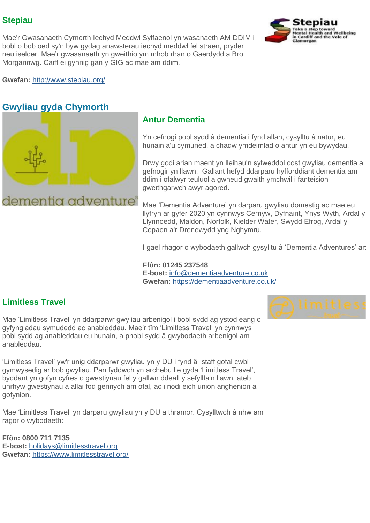### **Stepiau**

Mae'r Gwasanaeth Cymorth Iechyd Meddwl Sylfaenol yn wasanaeth AM DDIM i bobl o bob oed sy'n byw gydag anawsterau iechyd meddwl fel straen, pryder neu iselder. Mae'r gwasanaeth yn gweithio ym mhob rhan o Gaerdydd a Bro Morgannwg. Caiff ei gynnig gan y GIG ac mae am ddim.



**Gwefan:** [http://www.stepiau.org/](https://lnks.gd/l/eyJhbGciOiJIUzI1NiJ9.eyJidWxsZXRpbl9saW5rX2lkIjoxNTQsInVyaSI6ImJwMjpjbGljayIsImJ1bGxldGluX2lkIjoiMjAyMDEyMDIuMzE0MTI2NzEiLCJ1cmwiOiJodHRwOi8vd3d3LnN0ZXBpYXUub3JnLyJ9.i3YL_Dskgq6TBfHWtTiZ9wlnx5mFR1MPIcMm3hYsYyw/s/1019170856/br/90871620894-l)

### **Gwyliau gyda Chymorth**



### **Antur Dementia**

Yn cefnogi pobl sydd â dementia i fynd allan, cysylltu â natur, eu hunain a'u cymuned, a chadw ymdeimlad o antur yn eu bywydau.

Drwy godi arian maent yn lleihau'n sylweddol cost gwyliau dementia a gefnogir yn llawn. Gallant hefyd ddarparu hyfforddiant dementia am ddim i ofalwyr teuluol a gwneud gwaith ymchwil i fanteision gweithgarwch awyr agored.

Mae 'Dementia Adventure' yn darparu gwyliau domestig ac mae eu llyfryn ar gyfer 2020 yn cynnwys Cernyw, Dyfnaint, Ynys Wyth, Ardal y Llynnoedd, Maldon, Norfolk, Kielder Water, Swydd Efrog, Ardal y Copaon a'r Drenewydd yng Nghymru.

I gael rhagor o wybodaeth gallwch gysylltu â 'Dementia Adventures' ar:

**Ffôn: 01245 237548 E-bost:** [info@dementiaadventure.co.uk](mailto:info@dementiaadventure.co.uk) **Gwefan:** [https://dementiaadventure.co.uk/](https://lnks.gd/l/eyJhbGciOiJIUzI1NiJ9.eyJidWxsZXRpbl9saW5rX2lkIjoxNTUsInVyaSI6ImJwMjpjbGljayIsImJ1bGxldGluX2lkIjoiMjAyMDEyMDIuMzE0MTI2NzEiLCJ1cmwiOiJodHRwczovL2RlbWVudGlhYWR2ZW50dXJlLmNvLnVrLyJ9.ZydlCclWriJjk-1NbZPPOyZk4c2hFoFOuwgqW5EQTfY/s/1019170856/br/90871620894-l)

### **Limitless Travel**

Mae 'Limitless Travel' yn ddarparwr gwyliau arbenigol i bobl sydd ag ystod eang o gyfyngiadau symudedd ac anableddau. Mae'r tîm 'Limitless Travel' yn cynnwys pobl sydd ag anableddau eu hunain, a phobl sydd â gwybodaeth arbenigol am anableddau.

'Limitless Travel' yw'r unig ddarparwr gwyliau yn y DU i fynd â staff gofal cwbl gymwysedig ar bob gwyliau. Pan fyddwch yn archebu lle gyda 'Limitless Travel', byddant yn gofyn cyfres o gwestiynau fel y gallwn ddeall y sefyllfa'n llawn, ateb unrhyw gwestiynau a allai fod gennych am ofal, ac i nodi eich union anghenion a gofynion.

Mae 'Limitless Travel' yn darparu gwyliau yn y DU a thramor. Cysylltwch â nhw am ragor o wybodaeth:

**Ffôn: 0800 711 7135 E-bost:** [holidays@limitlesstravel.org](mailto:holidays@limitlesstravel.org) **Gwefan:** [https://www.limitlesstravel.org/](https://lnks.gd/l/eyJhbGciOiJIUzI1NiJ9.eyJidWxsZXRpbl9saW5rX2lkIjoxNTYsInVyaSI6ImJwMjpjbGljayIsImJ1bGxldGluX2lkIjoiMjAyMDEyMDIuMzE0MTI2NzEiLCJ1cmwiOiJodHRwczovL3d3dy5saW1pdGxlc3N0cmF2ZWwub3JnLyJ9.I3N_abYJYHR3_mjwENYqzBVHtEm8NKM8_xMRedCwNLE/s/1019170856/br/90871620894-l)